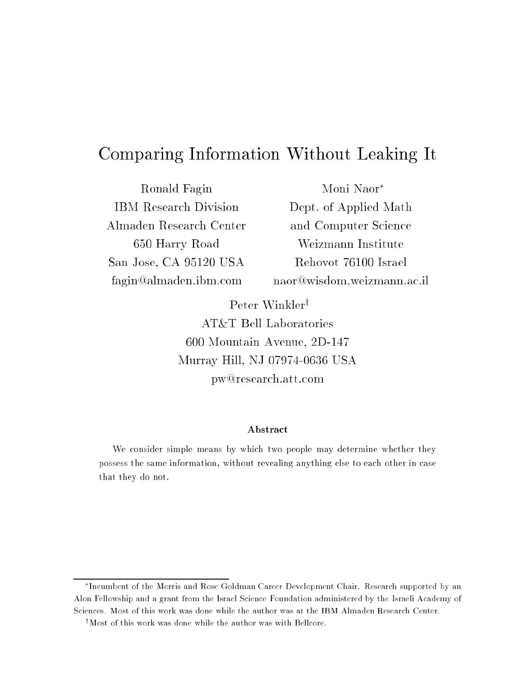# Comparing Information Without Leaking It

Ronald Fagin IBM Research Division Almaden Research Center 650 Harry Road San Jose, CA 95120 USA fagin@almaden.ibm.com

Moni Naor Dept. of Applied Math and Computer Science Weizmann Institute Rehovot 76100 Israel naor@wisdom.weizmann.ac.il

Peter Winkler<sup>†</sup> AT&T Bell Laboratories 600 Mountain Avenue, 2D-147 Murray Hill, NJ 07974-0636 USA pw@research.att.com

#### Abstract

We consider simple means by which two people may determine whether they possess the same information, without revealing anything else to each other in casethat they do not.

Incumbent of the Morris and Rose Goldman Career Development Chair. Research supported by an Alon Fellowship and a grant from the Israel Science Foundation administered by the Israeli Academy of Sciences. Most of this work was done while the author was at the IBM Almaden Research Center.

<sup>&</sup>lt;sup>†</sup>Most of this work was done while the author was with Bellcore.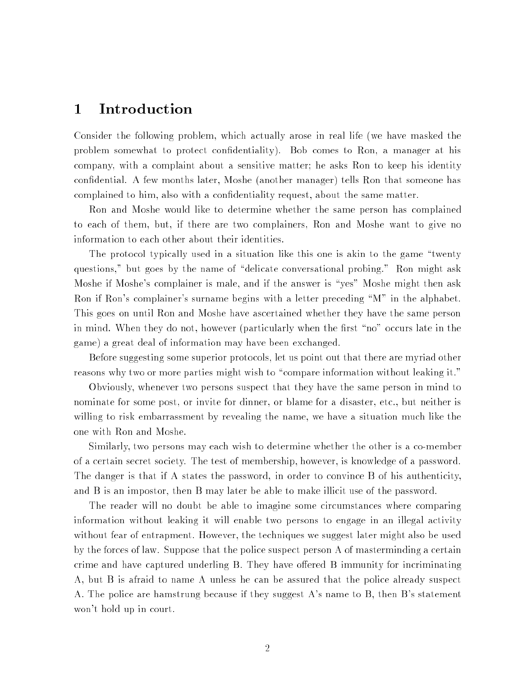### 1 Introduction

Consider the following problem, which actually arose in real life (we have masked the problem somewhat to protect condentiality). Bob comes to Ron, a manager at his company, with a complaint about a sensitive matter; he asks Ron to keep his identity condential. A few months later, Moshe (another manager) tells Ron that someone has complained to him, also with a condentiality request, about the same matter.

Ron and Moshe would like to determine whether the same person has complained to each of them, but, if there are two complainers, Ron and Moshe want to give no information to each other about their identities.

The protocol typically used in a situation like this one is akin to the game \twenty questions," but goes by the name of "delicate conversational probing." Ron might ask Moshe if Moshe's complainer is male, and if the answer is "yes" Moshe might then ask Ron if Ron's complainer's surname begins with a letter preceding "M" in the alphabet. This goes on until Ron and Moshe have ascertained whether they have the same person in mind. When they do not, however (particularly when the first "no" occurs late in the game) a great deal of information may have been exchanged.

Before suggesting some superior protocols, let us point out that there are myriad other reasons why two or more parties might wish to "compare information without leaking it."

Obviously, whenever two persons suspect that they have the same person in mind to nominate for some post, or invite for dinner, or blame for a disaster, etc., but neither is willing to risk embarrassment by revealing the name, we have a situation much like the one with Ron and Moshe.

Similarly, two persons may each wish to determine whether the other is a co-member of a certain secret society. The test of membership, however, is knowledge of a password. The danger is that if A states the password, in order to convince B of his authenticity, and B is an impostor, then B may later be able to make illicit use of the password.

The reader will no doubt be able to imagine some circumstances where comparing information without leaking it will enable two persons to engage in an illegal activity without fear of entrapment. However, the techniques we suggest later might also be used by the forces of law. Suppose that the police suspect person A of masterminding a certain crime and have captured underling B. They have offered B immunity for incriminating A, but B is afraid to name A unless he can be assured that the police already suspect A. The police are hamstrung because if they suggest A's name to B, then B's statement won't hold up in court.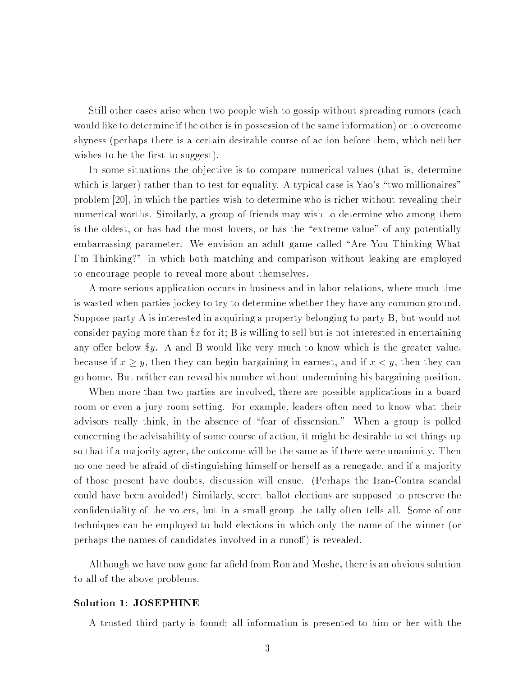Still other cases arise when two people wish to gossip without spreading rumors (each would like to determine if the other is in possession of the same information) or to overcome shyness (perhaps there is a certain desirable course of action before them, which neither wishes to be the first to suggest).

In some situations the ob jective is to compare numerical values (that is, determine which is larger) rather than to test for equality. A typical case is Yao's "two millionaires" problem [20], in which the parties wish to determine who is richer without revealing their numerical worths. Similarly, a group of friends may wish to determine who among them is the oldest, or has had the most lovers, or has the "extreme value" of any potentially embarrassing parameter. We envision an adult game called "Are You Thinking What I'm Thinking?" in which both matching and comparison without leaking are employed to encourage people to reveal more about themselves.

A more serious application occurs in business and in labor relations, where much time is wasted when parties jockey to try to determine whether they have any common ground. Suppose party A is interested in acquiring a property belonging to party B, but would not consider paying more than  $x$  for it; B is willing to sell but is not interested in entertaining any offer below  $y$ . A and B would like very much to know which is the greater value. because if  $x \geq y$ , then they can begin bargaining in earnest, and if  $x < y$ , then they can go home. But neither can reveal his number without undermining his bargaining position.

When more than two parties are involved, there are possible applications in a board room or even a jury room setting. For example, leaders often need to know what their advisors really think, in the absence of \fear of dissension." When a group is polled concerning the advisability of some course of action, it might be desirable to set things up so that if a ma jority agree, the outcome will be the same as if there were unanimity. Then no one need be afraid of distinguishing himself or herself as a renegade, and if a ma jority of those present have doubts, discussion will ensue. (Perhaps the Iran-Contra scandal could have been avoided!) Similarly, secret ballot elections are supposed to preserve the condentiality of the voters, but in a small group the tally often tells all. Some of our techniques can be employed to hold elections in which only the name of the winner (or perhaps the names of candidates involved in a runoff) is revealed.

Although we have now gone far afield from Ron and Moshe, there is an obvious solution to all of the above problems.

#### Solution 1: JOSEPHINE

A trusted third party is found; all information is presented to him or her with the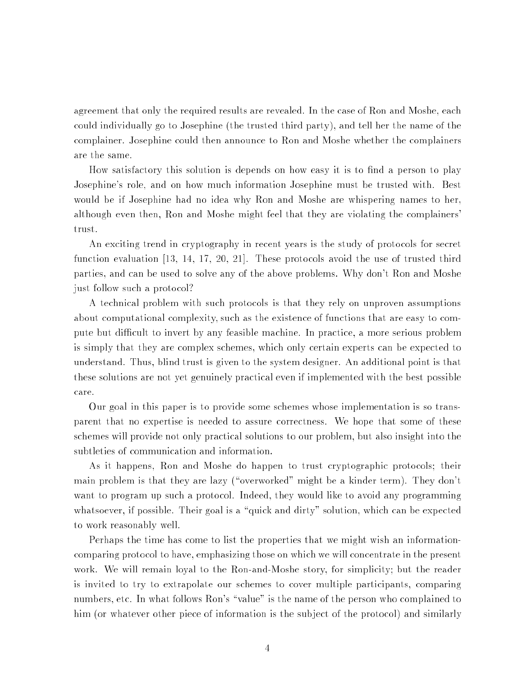agreement that only the required results are revealed. In the case of Ron and Moshe, each could individually go to Josephine (the trusted third party), and tell her the name of the complainer. Josephine could then announce to Ron and Moshe whether the complainers are the same.

How satisfactory this solution is depends on how easy it is to find a person to play Josephine's role, and on how much information Josephine must be trusted with. Best would be if Josephine had no idea why Ron and Moshe are whispering names to her, although even then, Ron and Moshe might feel that they are violating the complainers' trust.

An exciting trend in cryptography in recent years is the study of protocols for secret function evaluation [13, 14, 17, 20, 21]. These protocols avoid the use of trusted third parties, and can be used to solve any of the above problems. Why don't Ron and Moshe just follow such a protocol?

A technical problem with such protocols is that they rely on unproven assumptions about computational complexity, such as the existence of functions that are easy to compute but difficult to invert by any feasible machine. In practice, a more serious problem is simply that they are complex schemes, which only certain experts can be expected to understand. Thus, blind trust is given to the system designer. An additional point is that these solutions are not yet genuinely practical even if implemented with the best possible care.

Our goal in this paper is to provide some schemes whose implementation is so transparent that no expertise is needed to assure correctness. We hope that some of these schemes will provide not only practical solutions to our problem, but also insight into the subtleties of communication and information.

As it happens, Ron and Moshe do happen to trust cryptographic protocols; their main problem is that they are lazy ("overworked" might be a kinder term). They don't want to program up such a protocol. Indeed, they would like to avoid any programming whatsoever, if possible. Their goal is a "quick and dirty" solution, which can be expected to work reasonably well.

Perhaps the time has come to list the properties that we might wish an informationcomparing protocol to have, emphasizing those on which we will concentrate in the present work. We will remain loyal to the Ron-and-Moshe story, for simplicity; but the reader is invited to try to extrapolate our schemes to cover multiple participants, comparing numbers, etc. In what follows Ron's "value" is the name of the person who complained to him (or whatever other piece of information is the subject of the protocol) and similarly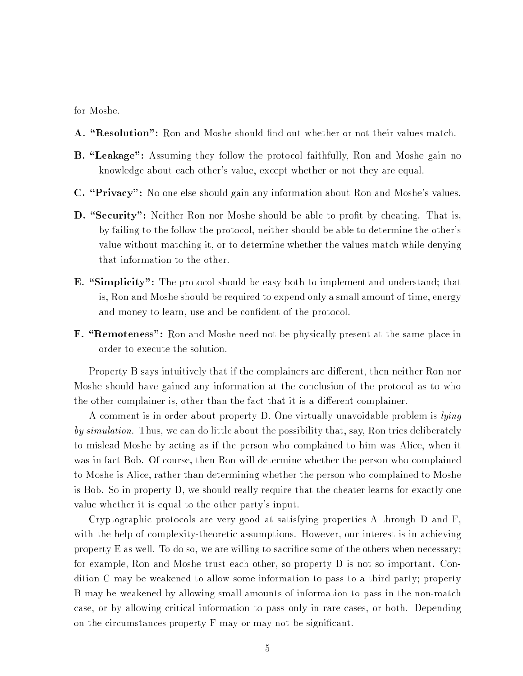for Moshe.

- A. "Resolution": Ron and Moshe should find out whether or not their values match.
- **B.** "Leakage": Assuming they follow the protocol faithfully, Ron and Moshe gain no knowledge about each other's value, except whether or not they are equal.
- C. "Privacy": No one else should gain any information about Ron and Moshe's values.
- D. "Security": Neither Ron nor Moshe should be able to profit by cheating. That is, by failing to the follow the protocol, neither should be able to determine the other's value without matching it, or to determine whether the values match while denying that information to the other.
- **E.** "Simplicity": The protocol should be easy both to implement and understand; that is, Ron and Moshe should be required to expend only a small amount of time, energy and money to learn, use and be confident of the protocol.
- **F.** "Remoteness": Ron and Moshe need not be physically present at the same place in order to execute the solution.

Property B says intuitively that if the complainers are different, then neither Ron nor Moshe should have gained any information at the conclusion of the protocol as to who the other complainer is, other than the fact that it is a different complainer.

A comment is in order about property D. One virtually unavoidable problem is *lying* by simulation. Thus, we can do little about the possibility that, say, Ron tries deliberately to mislead Moshe by acting as if the person who complained to him was Alice, when it was in fact Bob. Of course, then Ron will determine whether the person who complained to Moshe is Alice, rather than determining whether the person who complained to Moshe is Bob. So in property D, we should really require that the cheater learns for exactly one value whether it is equal to the other party's input.

Cryptographic protocols are very good at satisfying properties A through D and F, with the help of complexity-theoretic assumptions. However, our interest is in achieving property E as well. To do so, we are willing to sacrifice some of the others when necessary; for example, Ron and Moshe trust each other, so property D is not so important. Condition C may be weakened to allow some information to pass to a third party; property B may be weakened by allowing small amounts of information to pass in the non-match case, or by allowing critical information to pass only in rare cases, or both. Depending on the circumstances property F may or may not be signicant.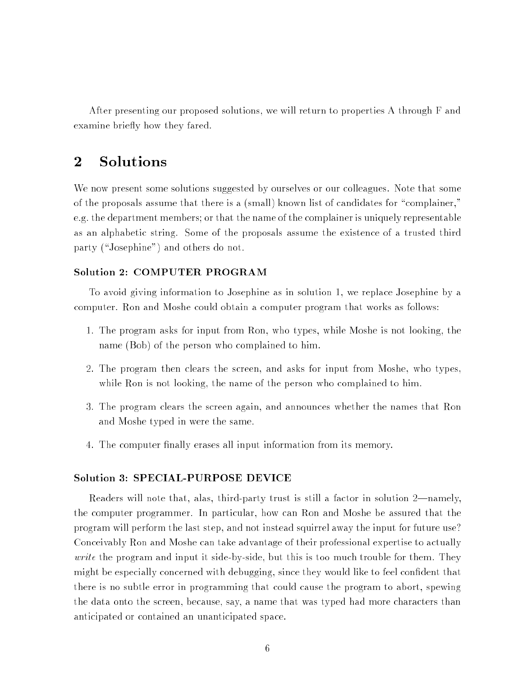After presenting our proposed solutions, we will return to properties A through F and examine briefly how they fared.

### 2 Solutions

We now present some solutions suggested by ourselves or our colleagues. Note that some of the proposals assume that there is a (small) known list of candidates for \complainer," e.g. the department members; or that the name of the complainer is uniquely representable as an alphabetic string. Some of the proposals assume the existence of a trusted third party ("Josephine") and others do not.

### Solution 2: COMPUTER PROGRAM

To avoid giving information to Josephine as in solution 1, we replace Josephine by a computer. Ron and Moshe could obtain a computer program that works as follows:

- 1. The program asks for input from Ron, who types, while Moshe is not looking, the name (Bob) of the person who complained to him.
- 2. The program then clears the screen, and asks for input from Moshe, who types, while Ron is not looking, the name of the person who complained to him.
- 3. The program clears the screen again, and announces whether the names that Ron and Moshe typed in were the same.
- 4. The computer nally erases all input information from its memory.

### Solution 3: SPECIAL-PURPOSE DEVICE

Readers will note that, alas, third-party trust is still a factor in solution  $2$ —namely, the computer programmer. In particular, how can Ron and Moshe be assured that the program will perform the last step, and not instead squirrel away the input for future use? Conceivably Ron and Moshe can take advantage of their professional expertise to actually write the program and input it side-by-side, but this is too much trouble for them. They might be especially concerned with debugging, since they would like to feel confident that there is no subtle error in programming that could cause the program to abort, spewing the data onto the screen, because, say, a name that was typed had more characters than anticipated or contained an unanticipated space.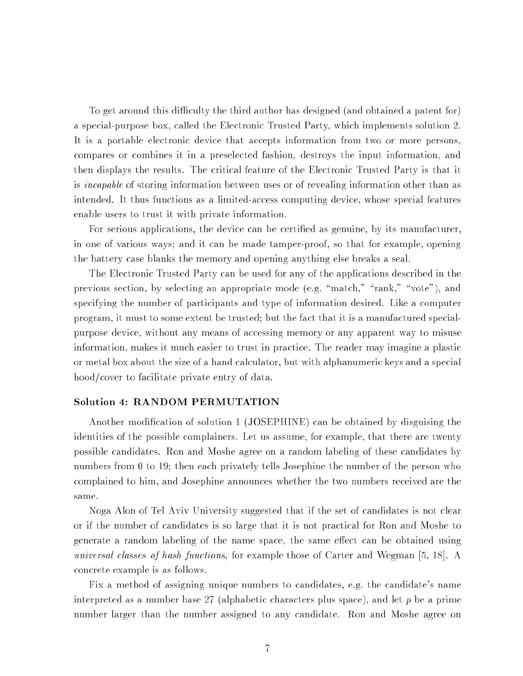To get around this difficulty the third author has designed (and obtained a patent for) a special-purpose box, called the Electronic Trusted Party, which implements solution 2. It is a portable electronic device that accepts information from two or more persons, compares or combines it in a preselected fashion, destroys the input information, and then displays the results. The critical feature of the Electronic Trusted Party is that it is incapable of storing information between uses or of revealing information other than as intended. It thus functions as a limited-access computing device, whose special features enable users to trust it with private information.

For serious applications, the device can be certified as genuine, by its manufacturer. in one of various ways; and it can be made tamper-proof, so that for example, opening the battery case blanks the memory and opening anything else breaks a seal.

The Electronic Trusted Party can be used for any of the applications described in the previous section, by selecting an appropriate mode (e.g. "match," " $rank$ ," "vote"), and specifying the number of participants and type of information desired. Like a computer program, it must to some extent be trusted; but the fact that it is a manufactured specialpurpose device, without any means of accessing memory or any apparent way to misuse information, makes it much easier to trust in practice. The reader may imagine a plastic or metal box about the size of a hand calculator, but with alphanumeric keys and a special hood/cover to facilitate private entry of data.

#### Solution 4: RANDOM PERMUTATION

Another modication of solution 1 (JOSEPHINE) can be obtained by disguising the identities of the possible complainers. Let us assume, for example, that there are twenty possible candidates. Ron and Moshe agree on a random labeling of these candidates by numbers from 0 to 19; then each privately tells Josephine the number of the person who complained to him, and Josephine announces whether the two numbers received are the same.

Noga Alon of Tel Aviv University suggested that if the set of candidates is not clear or if the number of candidates is so large that it is not practical for Ron and Moshe to generate a random labeling of the name space, the same effect can be obtained using universal classes of hash functions, for example those of Carter and Wegman [5, 18]. A concrete example is as follows.

Fix a method of assigning unique numbers to candidates, e.g. the candidate's name interpreted as a number base 27 (alphabetic characters plus space), and let  $p$  be a prime number larger than the number assigned to any candidate. Ron and Moshe agree on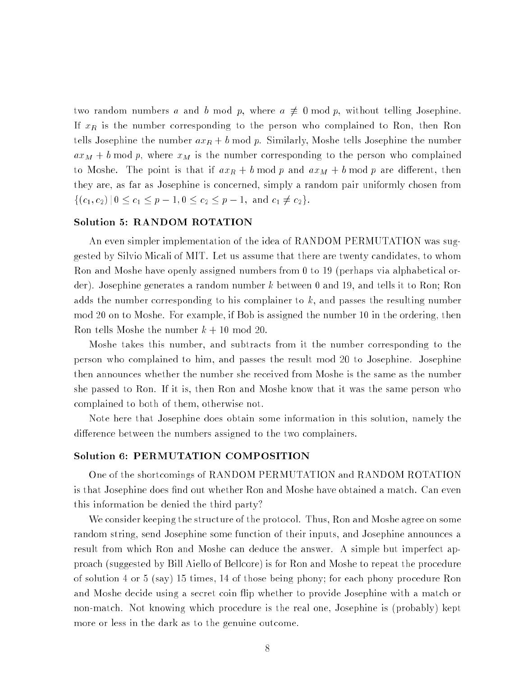two random numbers a and b mod p, where  $a \neq 0 \mod p$ , without telling Josephine. If  $x_R$  is the number corresponding to the person who complained to Ron, then Ron tells Josephine the number  $ax_R + b \mod p$ . Similarly, Moshe tells Josephine the number  $ax_M + b \mod p$ , where  $x_M$  is the number corresponding to the person who complained to Moshe. The point is that if  $ax_R + b \mod p$  and  $ax_M + b \mod p$  are different, then they are, as far as Josephine is concerned, simply a random pair uniformly chosen from  $\{(c_1, c_2) | 0 \le c_1 \le p-1, 0 \le c_2 \le p-1, \text{ and } c_1 \neq c_2\}.$ 

#### Solution 5: RANDOM ROTATION

An even simpler implementation of the idea of RANDOM PERMUTATION was suggested by Silvio Micali of MIT. Let us assume that there are twenty candidates, to whom Ron and Moshe have openly assigned numbers from 0 to 19 (perhaps via alphabetical order). Josephine generates a random number <sup>k</sup> between 0 and 19, and tells it to Ron; Ron adds the number corresponding to his complainer to k, and passes the resulting number mod 20 on to Moshe. For example, if Bob is assigned the number 10 in the ordering, then Ron tells Moshe the number  $k + 10 \mod 20$ .

Moshe takes this number, and subtracts from it the number corresponding to the person who complained to him, and passes the result mod 20 to Josephine. Josephine then announces whether the number she received from Moshe is the same as the number she passed to Ron. If it is, then Ron and Moshe know that it was the same person who complained to both of them, otherwise not.

Note here that Josephine does obtain some information in this solution, namely the difference between the numbers assigned to the two complainers.

#### Solution 6: PERMUTATION COMPOSITION

One of the shortcomings of RANDOM PERMUTATION and RANDOM ROTATION is that Josephine does find out whether Ron and Moshe have obtained a match. Can even this information be denied the third party?

We consider keeping the structure of the protocol. Thus, Ron and Moshe agree on some random string, send Josephine some function of their inputs, and Josephine announces a result from which Ron and Moshe can deduce the answer. A simple but imperfect approach (suggested by Bill Aiello of Bellcore) is for Ron and Moshe to repeat the procedure of solution 4 or 5 (say) 15 times, 14 of those being phony; for each phony procedure Ron and Moshe decide using a secret coin flip whether to provide Josephine with a match or non-match. Not knowing which procedure is the real one, Josephine is (probably) kept more or less in the dark as to the genuine outcome.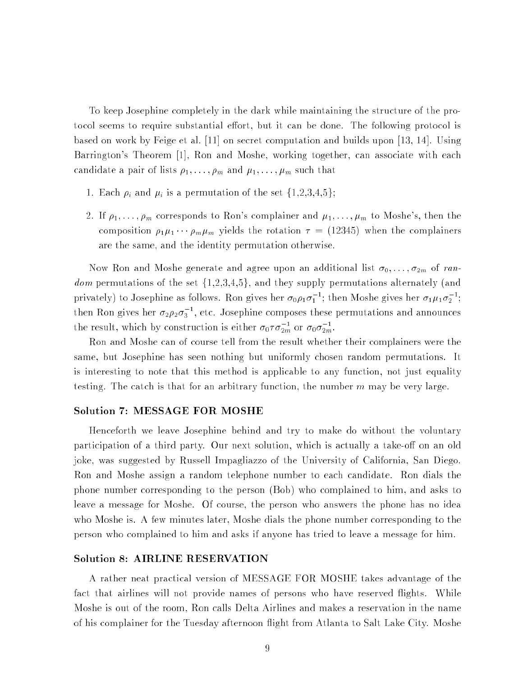To keep Josephine completely in the dark while maintaining the structure of the protocol seems to require substantial effort, but it can be done. The following protocol is based on work by Feige et al. [11] on secret computation and builds upon [13, 14]. Using Barrington's Theorem [1], Ron and Moshe, working together, can associate with each candidate a pair of lists  $\rho_1, \ldots, \rho_m$  and  $\mu_1, \ldots, \mu_m$  such that

- 1. Each  $\rho_i$  and  $\mu_i$  is a permutation of the set  $\{1,2,3,4,5\};$
- 2. If  $\rho_1, \ldots, \rho_m$  corresponds to Ron's complainer and  $\mu_1, \ldots, \mu_m$  to Moshe's, then the composition  $\rho_1 \mu_1 \cdots \rho_m \mu_m$  yields the rotation  $\tau = (12345)$  when the complainers are the same, and the identity permutation otherwise.

Now Ron and Moshe generate and agree upon an additional list  $\sigma_0, \ldots, \sigma_{2m}$  of random permutations of the set  $\{1,2,3,4,5\}$ , and they supply permutations alternately (and privately) to Josephine as follows. Ron gives her  $\sigma_0 \rho_1 \sigma_1$  ; then Moshe gives her  $\sigma_1 \mu_1 \sigma_2$  ; then Kon gives her  $\sigma_2 \rho_2 \sigma_3$  , etc. Josephine composes these permutations and announces the result, which by construction is either  $\sigma_0 \tau \sigma_{2m}$  or  $\sigma_0 \sigma_{2m}.$ 

Ron and Moshe can of course tell from the result whether their complainers were the same, but Josephine has seen nothing but uniformly chosen random permutations. It is interesting to note that this method is applicable to any function, not just equality testing. The catch is that for an arbitrary function, the number  $m$  may be very large.

#### Solution 7: MESSAGE FOR MOSHE

Henceforth we leave Josephine behind and try to make do without the voluntary participation of a third party. Our next solution, which is actually a take-off on an old joke, was suggested by Russell Impagliazzo of the University of California, San Diego. Ron and Moshe assign a random telephone number to each candidate. Ron dials the phone number corresponding to the person (Bob) who complained to him, and asks to leave a message for Moshe. Of course, the person who answers the phone has no idea who Moshe is. A few minutes later, Moshe dials the phone number corresponding to the person who complained to him and asks if anyone has tried to leave a message for him.

#### Solution 8: AIRLINE RESERVATION

A rather neat practical version of MESSAGE FOR MOSHE takes advantage of the fact that airlines will not provide names of persons who have reserved flights. While Moshe is out of the room, Ron calls Delta Airlines and makes a reservation in the name of his complainer for the Tuesday afternoon ight from Atlanta to Salt Lake City. Moshe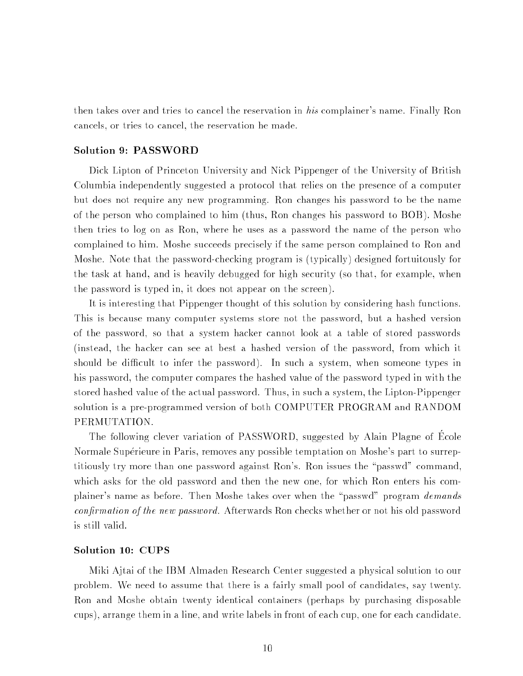then takes over and tries to cancel the reservation in his complainer's name. Finally Ron cancels, or tries to cancel, the reservation he made.

#### Solution 9: PASSWORD

Dick Lipton of Princeton University and Nick Pippenger of the University of British Columbia independently suggested a protocol that relies on the presence of a computer but does not require any new programming. Ron changes his password to be the name of the person who complained to him (thus, Ron changes his password to BOB). Moshe then tries to log on as Ron, where he uses as a password the name of the person who complained to him. Moshe succeeds precisely if the same person complained to Ron and Moshe. Note that the password-checking program is (typically) designed fortuitously for the task at hand, and is heavily debugged for high security (so that, for example, when the password is typed in, it does not appear on the screen).

It is interesting that Pippenger thought of this solution by considering hash functions. This is because many computer systems store not the password, but a hashed version of the password, so that a system hacker cannot look at a table of stored passwords (instead, the hacker can see at best a hashed version of the password, from which it should be difficult to infer the password). In such a system, when someone types in his password, the computer compares the hashed value of the password typed in with the stored hashed value of the actual password. Thus, in such a system, the Lipton-Pippenger solution is a pre-programmed version of both COMPUTER PROGRAM and RANDOM PERMUTATION.

The following clever variation of PASSWORD, suggested by Alain Plagne of Ecole Normale Supérieure in Paris, removes any possible temptation on Moshe's part to surreptitiously try more than one password against Ron's. Ron issues the \passwd" command, which asks for the old password and then the new one, for which Ron enters his complainer's name as before. Then Moshe takes over when the "passwd" program demands confirmation of the new password. Afterwards Ron checks whether or not his old password is still valid.

#### Solution 10: CUPS

Miki Ajtai of the IBM Almaden Research Center suggested a physical solution to our problem. We need to assume that there is a fairly small pool of candidates, say twenty. Ron and Moshe obtain twenty identical containers (perhaps by purchasing disposable cups), arrange them in a line, and write labels in front of each cup, one for each candidate.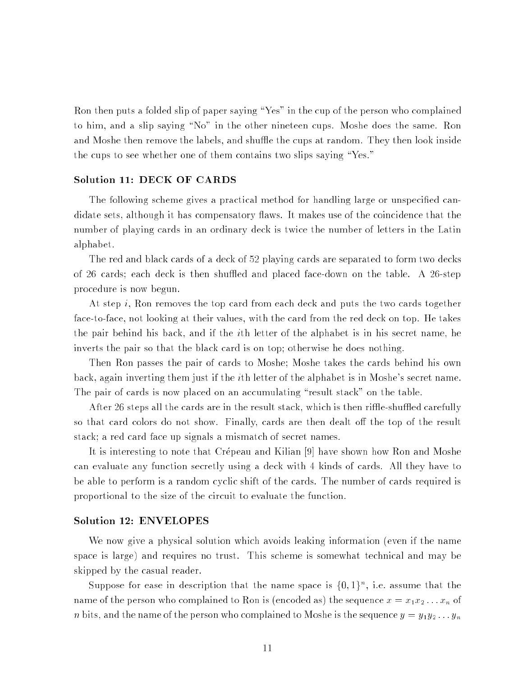Ron then puts a folded slip of paper saying \Yes" in the cup of the person who complained to him, and a slip saying \No" in the other nineteen cups. Moshe does the same. Ron and Moshe then remove the labels, and shuffle the cups at random. They then look inside the cups to see whether one of them contains two slips saying "Yes."

#### Solution 11: DECK OF CARDS

The following scheme gives a practical method for handling large or unspecified candidate sets, although it has compensatory flaws. It makes use of the coincidence that the number of playing cards in an ordinary deck is twice the number of letters in the Latin alphabet.

The red and black cards of a deck of 52 playing cards are separated to form two decks of 26 cards; each deck is then shuffled and placed face-down on the table. A 26-step procedure is now begun.

At step i, Ron removes the top card from each deck and puts the two cards together face-to-face, not looking at their values, with the card from the red deck on top. He takes the pair behind his back, and if the ith letter of the alphabet is in his secret name, he inverts the pair so that the black card is on top; otherwise he does nothing.

Then Ron passes the pair of cards to Moshe; Moshe takes the cards behind his own back, again inverting them just if the ith letter of the alphabet is in Moshe's secret name. The pair of cards is now placed on an accumulating "result stack" on the table.

After 26 steps all the cards are in the result stack, which is then riffle-shuffled carefully so that card colors do not show. Finally, cards are then dealt off the top of the result stack; a red card face up signals a mismatch of secret names.

It is interesting to note that Crépeau and Kilian [9] have shown how Ron and Moshe can evaluate any function secretly using a deck with 4 kinds of cards. All they have to be able to perform is a random cyclic shift of the cards. The number of cards required is proportional to the size of the circuit to evaluate the function.

#### Solution 12: ENVELOPES

We now give a physical solution which avoids leaking information (even if the name space is large) and requires no trust. This scheme is somewhat technical and may be skipped by the casual reader.

Suppose for ease in description that the name space is  $\{0,1\}^n$ , i.e. assume that the name of the person who complained to Ron is (encoded as) the sequence  $x = x_1x_2...x_n$  of *n* bits, and the name of the person who complained to Moshe is the sequence  $y = y_1y_2 \ldots y_n$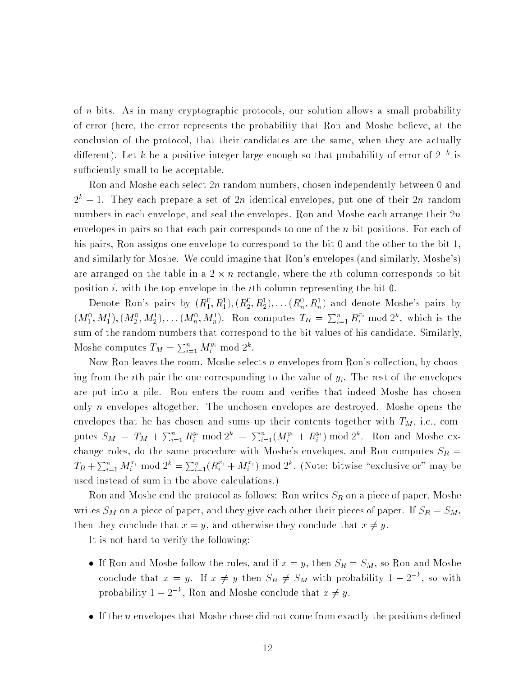of <sup>n</sup> bits. As in many cryptographic protocols, our solution allows a small probability of error (here, the error represents the probability that Ron and Moshe believe, at the conclusion of the protocol, that their candidates are the same, when they are actually different). Let  $\kappa$  be a positive integer large enough so that probability of error of  $Z$  " is sufficiently small to be acceptable.

Ron and Moshe each select  $2n$  random numbers, chosen independently between 0 and  $2^k - 1$ . They each prepare a set of 2n identical envelopes, put one of their 2n random numbers in each envelope, and seal the envelopes. Ron and Moshe each arrange their 2n envelopes in pairs so that each pair corresponds to one of the <sup>n</sup> bit positions. For each of his pairs, Ron assigns one envelope to correspond to the bit 0 and the other to the bit 1, and similarly for Moshe. We could imagine that Ron's envelopes (and similarly, Moshe's) are arranged on the table in a 2 - 11 rectangel, where the ith column corresponds to bit position i, with the top envelope in the i<sup>th</sup> column representing the bit 0.

Denote Ron's pairs by  $(R_1^0,R_1^1),(R_2^0,R_2^1),\dots (R_n^0,R_n^1)$  and denote Moshe's pairs by  $(M_1^0, M_1^1), (M_2^0, M_2^1), \ldots, (M_n^0, M_n^1)$ . Ron computes  $T_R = \sum_{i=1}^n R_i^{x_i} \bmod 2^k$ , which is the sum of the random numbers that correspond to the bit values of his candidate. Similarly, Moshe computes  $T_M = \sum_{i=1}^n M_i^{y_i} \bmod 2^k$ .

Now Ron leaves the room. Moshe selects n envelopes from Ron's collection, by choosing from the *i*th pair the one corresponding to the value of  $y_i$ . The rest of the envelopes are put into a pile. Ron enters the room and verifies that indeed Moshe has chosen only *n* envelopes altogether. The unchosen envelopes are destroyed. Moshe opens the envelopes that he has chosen and sums up their contents together with  $T_M$ , i.e., computes  $S_M = T_M + \sum_{i=1}^n R_i^{y_i} \text{ mod } 2^k = \sum_{i=1}^n (M_i^{y_i} + R_i^{y_i}) \text{ mod } 2^k$ . Ron and Moshe exchange roles, do the same procedure with Moshe's envelopes, and Ron computes  $S_R$  =  $T_R + \sum_{i=1}^n M_i^{x_i} \mod 2^k = \sum_{i=1}^n (R_i^{x_i} + M_i^{x_i}) \mod 2^k$ . (Note: bitwise "exclusive or" may be used instead of sum in the above calculations.)

Ron and Moshe end the protocol as follows: Ron writes  $S_{\bm{R}}$  on a piece of paper, Moshe writes  $S_M$  on a piece of paper, and they give each other their pieces of paper. If  $S_R = S_M$ , then they conclude that  $x = y$ , and otherwise they conclude that  $x \neq y$ .

It is not hard to verify the following:

- If Ron and Moshe follows the rules, and if  $\alpha$  if  $\alpha$  if  $\alpha$  if  $\alpha$  if  $\alpha$  and  $\alpha$  ron and  $\alpha$ conclude that  $x = y$ . If  $x \neq y$  then  $S_R \neq S_M$  with probability  $1 - 2 \degree$ , so with probability  $1 - 2 \gamma$ , Ron and Moshe conclude that  $x \neq y$ .
- If the <sup>n</sup> envelopes that Moshe chose did not come from exactly the positions dened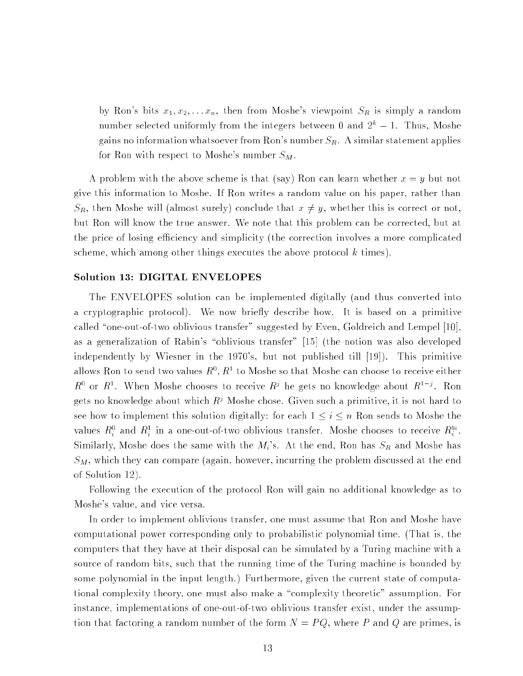by Ron's bits  $x_1, x_2, \ldots x_n$ , then from Moshe's viewpoint  $S_R$  is simply a random number selected uniformly from the integers between  $0$  and  $2^+ - 1$ . Thus, Moshe gains no information whatsoever from Ron's number  $S_R$ . A similar statement applies for Ron with respect to Moshe's number  $S_M$ .

A problem with the above scheme is that (say) Ron can learn whether  $x = y$  but not give this information to Moshe. If Ron writes a random value on his paper, rather than  $S_R$ , then Moshe will (almost surely) conclude that  $x \neq y$ , whether this is correct or not, but Ron will know the true answer. We note that this problem can be corrected, but at the price of losing efficiency and simplicity (the correction involves a more complicated scheme, which among other things executes the above protocol  $k$  times).

#### Solution 13: DIGITAL ENVELOPES

The ENVELOPES solution can be implemented digitally (and thus converted into a cryptographic protocol). We now briefly describe how. It is based on a primitive called "one-out-of-two oblivious transfer" suggested by Even, Goldreich and Lempel  $[10]$ . as a generalization of Rabin's "oblivious transfer" [15] (the notion was also developed independently by Wiesner in the 1970's, but not published till [19]). This primitive ahows roll to send two values  $R^+, R^-$  to moshe so that Moshe can choose to receive either  $R^+$  or  $R^+$ . When Moshe chooses to receive  $R^*$  he gets no knowledge about  $R^+$  . Ron gets no knowledge about which  $R<sup>j</sup>$  Moshe chose. Given such a primitive, it is not hard to see how to implement this solution digitally: for each  $1 \le i \le n$  Ron sends to Moshe the values  $R_i^v$  and  $R_i^s$  in a one-out-of-two oblivious transfer. Moshe chooses to receive  $R_i^{sv}.$ Similarly, Moshe does the same with the  $M_i$ 's. At the end, Ron has  $S_R$  and Moshe has  $S_M$ , which they can compare (again, however, incurring the problem discussed at the end of Solution 12).

Following the execution of the protocol Ron will gain no additional knowledge as to Moshe's value, and vice versa.

In order to implement oblivious transfer, one must assume that Ron and Moshe have computational power corresponding only to probabilistic polynomial time. (That is, the computers that they have at their disposal can be simulated by a Turing machine with a source of random bits, such that the running time of the Turing machine is bounded by some polynomial in the input length.) Furthermore, given the current state of computational complexity theory, one must also make a \complexity theoretic" assumption. For instance, implementations of one-out-of-two oblivious transfer exist, under the assumption that factoring a random number of the form  $N = PQ$ , where P and Q are primes, is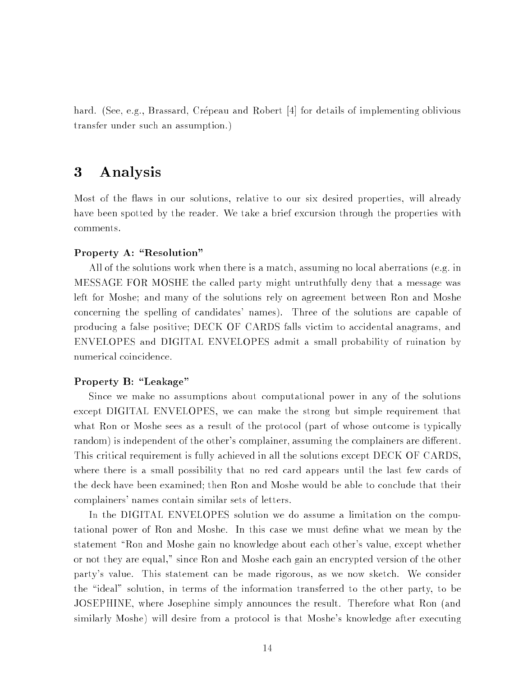hard. (See, e.g., Brassard, Crépeau and Robert [4] for details of implementing oblivious transfer under such an assumption.)

### 3 Analysis

Most of the flaws in our solutions, relative to our six desired properties, will already have been spotted by the reader. We take a brief excursion through the properties with comments.

### Property A: "Resolution"

All of the solutions work when there is a match, assuming no local aberrations (e.g. in MESSAGE FOR MOSHE the called party might untruthfully deny that a message was left for Moshe; and many of the solutions rely on agreement between Ron and Moshe concerning the spelling of candidates' names). Three of the solutions are capable of producing a false positive; DECK OF CARDS falls victim to accidental anagrams, and ENVELOPES and DIGITAL ENVELOPES admit a small probability of ruination by numerical coincidence.

#### Property B: "Leakage"

Since we make no assumptions about computational power in any of the solutions except DIGITAL ENVELOPES, we can make the strong but simple requirement that what Ron or Moshe sees as a result of the protocol (part of whose outcome is typically random) is independent of the other's complainer, assuming the complainers are different. This critical requirement is fully achieved in all the solutions except DECK OF CARDS, where there is a small possibility that no red card appears until the last few cards of the deck have been examined; then Ron and Moshe would be able to conclude that their complainers' names contain similar sets of letters.

In the DIGITAL ENVELOPES solution we do assume a limitation on the computational power of Ron and Moshe. In this case we must dene what we mean by the statement "Ron and Moshe gain no knowledge about each other's value, except whether or not they are equal," since Ron and Moshe each gain an encrypted version of the other party's value. This statement can be made rigorous, as we now sketch. We consider the "ideal" solution, in terms of the information transferred to the other party, to be JOSEPHINE, where Josephine simply announces the result. Therefore what Ron (and similarly Moshe) will desire from a protocol is that Moshe's knowledge after executing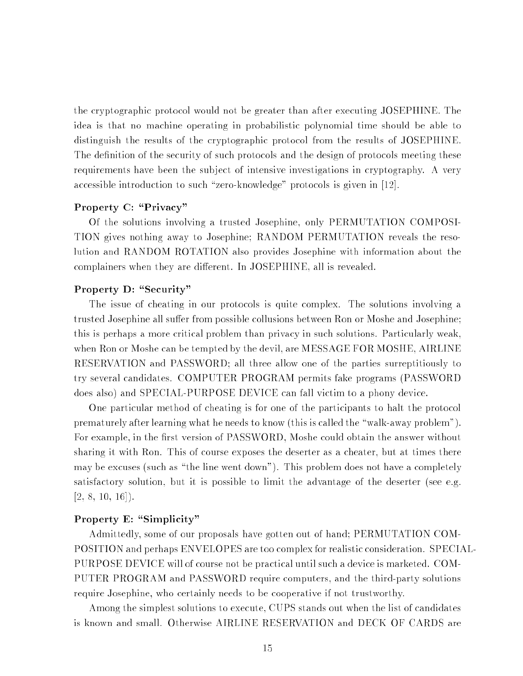the cryptographic protocol would not be greater than after executing JOSEPHINE. The idea is that no machine operating in probabilistic polynomial time should be able to distinguish the results of the cryptographic protocol from the results of JOSEPHINE. The definition of the security of such protocols and the design of protocols meeting these requirements have been the subject of intensive investigations in cryptography. A very accessible introduction to such "zero-knowledge" protocols is given in [12].

### Property C: "Privacy"

Of the solutions involving a trusted Josephine, only PERMUTATION COMPOSI-TION gives nothing away to Josephine; RANDOM PERMUTATION reveals the resolution and RANDOM ROTATION also provides Josephine with information about the complainers when they are different. In JOSEPHINE, all is revealed.

#### Property D: "Security"

The issue of cheating in our protocols is quite complex. The solutions involving a trusted Josephine all suffer from possible collusions between Ron or Moshe and Josephine; this is perhaps a more critical problem than privacy in such solutions. Particularly weak, when Ron or Moshe can be tempted by the devil, are MESSAGE FOR MOSHE, AIRLINE RESERVATION and PASSWORD; all three allow one of the parties surreptitiously to try several candidates. COMPUTER PROGRAM permits fake programs (PASSWORD does also) and SPECIAL-PURPOSE DEVICE can fall victim to a phony device.

One particular method of cheating is for one of the participants to halt the protocol prematurely after learning what he needs to know (this is called the \walk-away problem"). For example, in the first version of PASSWORD, Moshe could obtain the answer without sharing it with Ron. This of course exposes the deserter as a cheater, but at times there may be excuses (such as "the line went down"). This problem does not have a completely satisfactory solution, but it is possible to limit the advantage of the deserter (see e.g.  $[2, 8, 10, 16]$ .

#### Property E: "Simplicity"

Admittedly, some of our proposals have gotten out of hand; PERMUTATION COM-POSITION and perhaps ENVELOPES are too complex for realistic consideration. SPECIAL-PURPOSE DEVICE will of course not be practical until such a device is marketed. COM-PUTER PROGRAM and PASSWORD require computers, and the third-party solutions require Josephine, who certainly needs to be cooperative if not trustworthy.

Among the simplest solutions to execute, CUPS stands out when the list of candidates is known and small. Otherwise AIRLINE RESERVATION and DECK OF CARDS are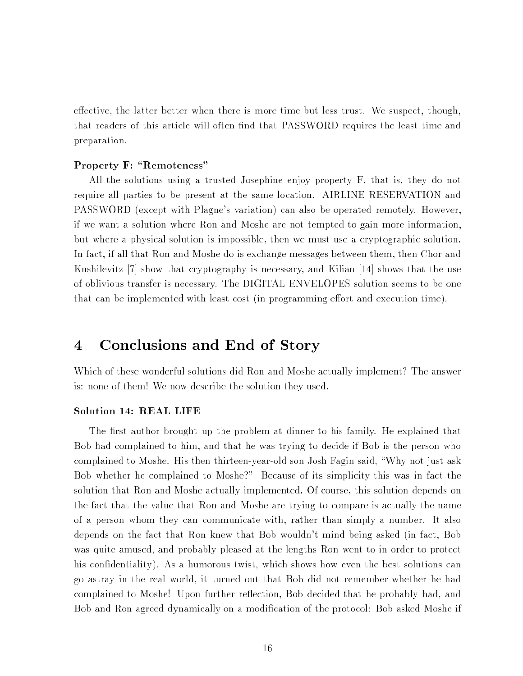effective, the latter better when there is more time but less trust. We suspect, though, that readers of this article will often find that PASSWORD requires the least time and preparation.

#### Property F: "Remoteness"

All the solutions using a trusted Josephine enjoy property F, that is, they do not require all parties to be present at the same location. AIRLINE RESERVATION and PASSWORD (except with Plagne's variation) can also be operated remotely. However, if we want a solution where Ron and Moshe are not tempted to gain more information, but where a physical solution is impossible, then we must use a cryptographic solution. In fact, if all that Ron and Moshe do is exchange messages between them, then Chor and Kushilevitz [7] show that cryptography is necessary, and Kilian [14] shows that the use of oblivious transfer is necessary. The DIGITAL ENVELOPES solution seems to be one that can be implemented with least cost (in programming effort and execution time).

#### Conclusions and End of Story  $\boldsymbol{4}$

Which of these wonderful solutions did Ron and Moshe actually implement? The answer is: none of them! We now describe the solution they used.

#### Solution 14: REAL LIFE

The first author brought up the problem at dinner to his family. He explained that Bob had complained to him, and that he was trying to decide if Bob is the person who complained to Moshe. His then thirteen-year-old son Josh Fagin said, \Why not just ask Bob whether he complained to Moshe?" Because of its simplicity this was in fact the solution that Ron and Moshe actually implemented. Of course, this solution depends on the fact that the value that Ron and Moshe are trying to compare is actually the name of a person whom they can communicate with, rather than simply a number. It also depends on the fact that Ron knew that Bob wouldn't mind being asked (in fact, Bob was quite amused, and probably pleased at the lengths Ron went to in order to protect his confidentiality). As a humorous twist, which shows how even the best solutions can go astray in the real world, it turned out that Bob did not remember whether he had complained to Moshe! Upon further reflection, Bob decided that he probably had, and Bob and Ron agreed dynamically on a modication of the protocol: Bob asked Moshe if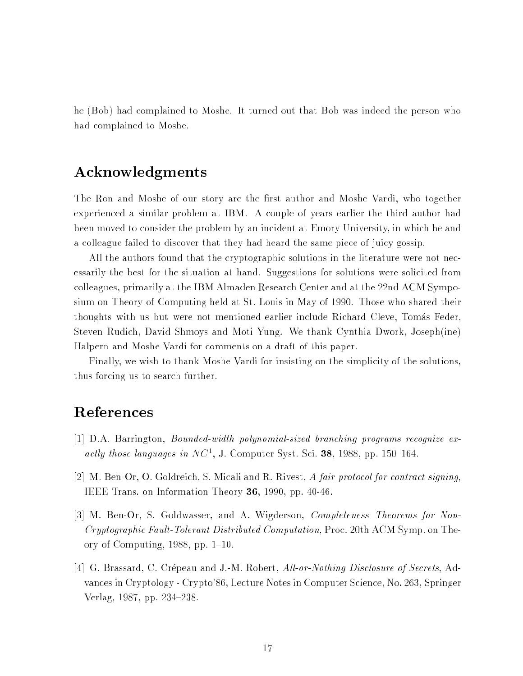he (Bob) had complained to Moshe. It turned out that Bob was indeed the person who had complained to Moshe.

### Acknowledgments

The Ron and Moshe of our story are the first author and Moshe Vardi, who together experienced a similar problem at IBM. A couple of years earlier the third author had been moved to consider the problem by an incident at Emory University, in which he and a colleague failed to discover that they had heard the same piece of juicy gossip.

All the authors found that the cryptographic solutions in the literature were not necessarily the best for the situation at hand. Suggestions for solutions were solicited from colleagues, primarily at the IBM Almaden Research Center and at the 22nd ACM Symposium on Theory of Computing held at St. Louis in May of 1990. Those who shared their thoughts with us but were not mentioned earlier include Richard Cleve, Tomas Feder, Steven Rudich, David Shmoys and Moti Yung. We thank Cynthia Dwork, Joseph(ine) Halpern and Moshe Vardi for comments on a draft of this paper.

Finally, we wish to thank Moshe Vardi for insisting on the simplicity of the solutions, thus forcing us to search further.

## References

- [1] D.A. Barrington, Bounded-width polynomial-sized branching programs recognize ex*actly those languages in I*VC<sup>-</sup>, J. Computer Syst. Sci. 38, 1988, pp. 150-164.
- [2] M. Ben-Or, O. Goldreich, S. Micali and R. Rivest, A fair protocol for contract signing, IEEE Trans. on Information Theory 36, 1990, pp. 40-46.
- [3] M. Ben-Or, S. Goldwasser, and A. Wigderson, Completeness Theorems for Non-Cryptographic Fault-Tolerant Distributed Computation, Proc. 20th ACM Symp. on Theory of Computing,  $1988$ , pp.  $1–10$ .
- [4] G. Brassard, C. Crépeau and J.-M. Robert, All-or-Nothing Disclosure of Secrets, Advances in Cryptology - Crypto'86, Lecture Notes in Computer Science, No. 263, Springer Verlag, 1987, pp. 234–238.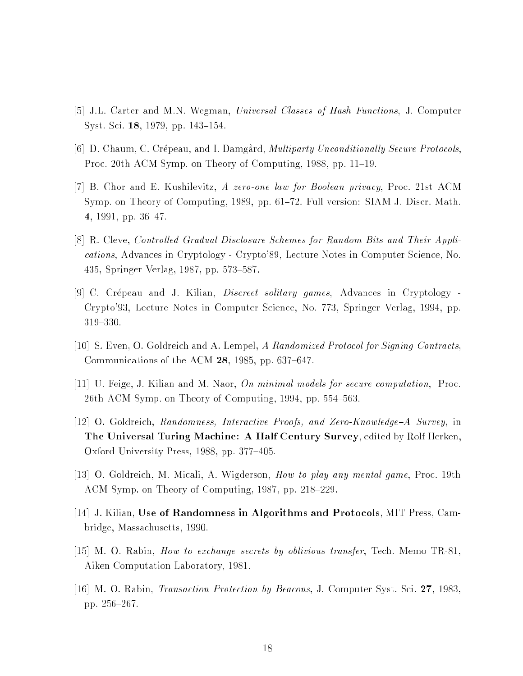- [5] J.L. Carter and M.N. Wegman, Universal Classes of Hash Functions, J. Computer Syst. Sci. 18, 1979, pp. 143–154.
- [6] D. Chaum, C. Crépeau, and I. Damgard, *Multiparty Unconditionally Secure Protocols*, Proc. 20th ACM Symp. on Theory of Computing, 1988, pp. 11–19.
- [7] B. Chor and E. Kushilevitz, A zero-one law for Boolean privacy, Proc. 21st ACM Symp. on Theory of Computing, 1989, pp. 61-72. Full version: SIAM J. Discr. Math. 4, 1991, pp.  $36-47$ .
- [8] R. Cleve, Controlled Gradual Disclosure Schemes for Random Bits and Their Applications, Advances in Cryptology - Crypto'89, Lecture Notes in Computer Science, No. 435, Springer Verlag, 1987, pp. 573–587.
- [9] C. Crépeau and J. Kilian, *Discreet solitary games*, Advances in Cryptology -Crypto'93, Lecture Notes in Computer Science, No. 773, Springer Verlag, 1994, pp. 319{330.
- [10] S. Even, O. Goldreich and A. Lempel, A Randomized Protocol for Signing Contracts, Communications of the ACM  $28$ , 1985, pp. 637–647.
- [11] U. Feige, J. Kilian and M. Naor, On minimal models for secure computation, Proc. 26th ACM Symp. on Theory of Computing,  $1994$ , pp.  $554-563$ .
- [12] O. Goldreich, Randomness, Interactive Proofs, and Zero-Knowledge-A Survey, in The Universal Turing Machine: A Half Century Survey, edited by Rolf Herken, Oxford University Press, 1988, pp. 377-405.
- [13] O. Goldreich, M. Micali, A. Wigderson, How to play any mental game, Proc. 19th ACM Symp. on Theory of Computing, 1987, pp. 218–229.
- [14] J. Kilian, Use of Randomness in Algorithms and Protocols, MIT Press, Cambridge, Massachusetts, 1990.
- [15] M. O. Rabin, How to exchange secrets by oblivious transfer, Tech. Memo TR-81, Aiken Computation Laboratory, 1981.
- [16] M. O. Rabin, Transaction Protection by Beacons, J. Computer Syst. Sci. 27, 1983, pp. 256-267.